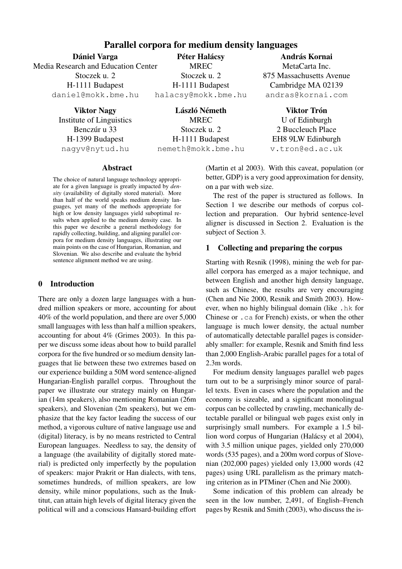# Parallel corpora for medium density languages

Dániel Varga Media Research and Education Center Stoczek u. 2 H-1111 Budapest daniel@mokk.bme.hu

> Viktor Nagy Institute of Linguistics Benczúr u 33 H-1399 Budapest nagyv@nytud.hu

Péter Halácsv MREC Stoczek u. 2 H-1111 Budapest halacsy@mokk.bme.hu

László Németh MREC Stoczek u. 2 H-1111 Budapest nemeth@mokk.bme.hu

András Kornai MetaCarta Inc. 875 Massachusetts Avenue Cambridge MA 02139 andras@kornai.com

Viktor Trón U of Edinburgh 2 Buccleuch Place EH8 9LW Edinburgh v.tron@ed.ac.uk

#### Abstract

The choice of natural language technology appropriate for a given language is greatly impacted by *density* (availability of digitally stored material). More than half of the world speaks medium density languages, yet many of the methods appropriate for high or low density languages yield suboptimal results when applied to the medium density case. In this paper we describe a general methodology for rapidly collecting, building, and aligning parallel corpora for medium density languages, illustrating our main points on the case of Hungarian, Romanian, and Slovenian. We also describe and evaluate the hybrid sentence alignment method we are using.

## 0 Introduction

There are only a dozen large languages with a hundred million speakers or more, accounting for about 40% of the world population, and there are over 5,000 small languages with less than half a million speakers, accounting for about 4% (Grimes 2003). In this paper we discuss some ideas about how to build parallel corpora for the five hundred or so medium density languages that lie between these two extremes based on our experience building a 50M word sentence-aligned Hungarian-English parallel corpus. Throughout the paper we illustrate our strategy mainly on Hungarian (14m speakers), also mentioning Romanian (26m speakers), and Slovenian (2m speakers), but we emphasize that the key factor leading the success of our method, a vigorous culture of native language use and (digital) literacy, is by no means restricted to Central European languages. Needless to say, the density of a language (the availability of digitally stored material) is predicted only imperfectly by the population of speakers: major Prakrit or Han dialects, with tens, sometimes hundreds, of million speakers, are low density, while minor populations, such as the Inuktitut, can attain high levels of digital literacy given the political will and a conscious Hansard-building effort (Martin et al 2003). With this caveat, population (or better, GDP) is a very good approximation for density, on a par with web size.

The rest of the paper is structured as follows. In Section 1 we describe our methods of corpus collection and preparation. Our hybrid sentence-level aligner is discussed in Section 2. Evaluation is the subject of Section 3.

# 1 Collecting and preparing the corpus

Starting with Resnik (1998), mining the web for parallel corpora has emerged as a major technique, and between English and another high density language, such as Chinese, the results are very encouraging (Chen and Nie 2000, Resnik and Smith 2003). However, when no highly bilingual domain (like .hk for Chinese or .ca for French) exists, or when the other language is much lower density, the actual number of automatically detectable parallel pages is considerably smaller: for example, Resnik and Smith find less than 2,000 English-Arabic parallel pages for a total of 2.3m words.

For medium density languages parallel web pages turn out to be a surprisingly minor source of parallel texts. Even in cases where the population and the economy is sizeable, and a significant monolingual corpus can be collected by crawling, mechanically detectable parallel or bilingual web pages exist only in surprisingly small numbers. For example a 1.5 billion word corpus of Hungarian (Halácsy et al 2004), with 3.5 million unique pages, yielded only 270,000 words (535 pages), and a 200m word corpus of Slovenian (202,000 pages) yielded only 13,000 words (42 pages) using URL parallelism as the primary matching criterion as in PTMiner (Chen and Nie 2000).

Some indication of this problem can already be seen in the low number, 2,491, of English–French pages by Resnik and Smith (2003), who discuss the is-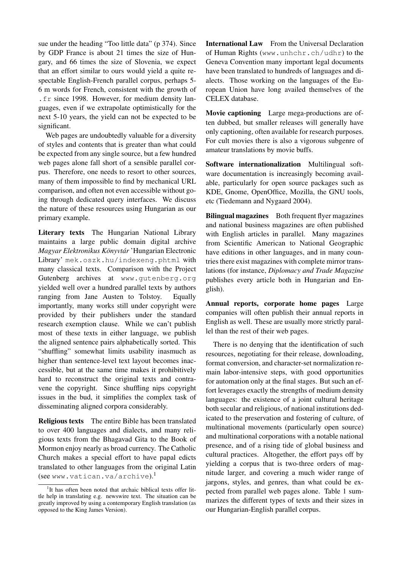sue under the heading "Too little data" (p 374). Since by GDP France is about 21 times the size of Hungary, and 66 times the size of Slovenia, we expect that an effort similar to ours would yield a quite respectable English-French parallel corpus, perhaps 5- 6 m words for French, consistent with the growth of .fr since 1998. However, for medium density languages, even if we extrapolate optimistically for the next 5-10 years, the yield can not be expected to be significant.

Web pages are undoubtedly valuable for a diversity of styles and contents that is greater than what could be expected from any single source, but a few hundred web pages alone fall short of a sensible parallel corpus. Therefore, one needs to resort to other sources, many of them impossible to find by mechanical URL comparison, and often not even accessible without going through dedicated query interfaces. We discuss the nature of these resources using Hungarian as our primary example.

Literary texts The Hungarian National Library maintains a large public domain digital archive *Magyar Elektronikus Könyvtár* 'Hungarian Electronic Library' mek.oszk.hu/indexeng.phtml with many classical texts. Comparison with the Project Gutenberg archives at www.gutenberg.org yielded well over a hundred parallel texts by authors ranging from Jane Austen to Tolstoy. Equally importantly, many works still under copyright were provided by their publishers under the standard research exemption clause. While we can't publish most of these texts in either language, we publish the aligned sentence pairs alphabetically sorted. This "shuffling" somewhat limits usability inasmuch as higher than sentence-level text layout becomes inaccessible, but at the same time makes it prohibitively hard to reconstruct the original texts and contravene the copyright. Since shuffling nips copyright issues in the bud, it simplifies the complex task of disseminating aligned corpora considerably.

Religious texts The entire Bible has been translated to over 400 languages and dialects, and many religious texts from the Bhagavad Gita to the Book of Mormon enjoy nearly as broad currency. The Catholic Church makes a special effort to have papal edicts translated to other languages from the original Latin (see www.vatican.va/archive).<sup>1</sup>

International Law From the Universal Declaration of Human Rights (www.unhchr.ch/udhr) to the Geneva Convention many important legal documents have been translated to hundreds of languages and dialects. Those working on the languages of the European Union have long availed themselves of the CELEX database.

Movie captioning Large mega-productions are often dubbed, but smaller releases will generally have only captioning, often available for research purposes. For cult movies there is also a vigorous subgenre of amateur translations by movie buffs.

Software internationalization Multilingual software documentation is increasingly becoming available, particularly for open source packages such as KDE, Gnome, OpenOffice, Mozilla, the GNU tools, etc (Tiedemann and Nygaard 2004).

Bilingual magazines Both frequent flyer magazines and national business magazines are often published with English articles in parallel. Many magazines from Scientific American to National Geographic have editions in other languages, and in many countries there exist magazines with complete mirror translations (for instance, *Diplomacy and Trade Magazine* publishes every article both in Hungarian and English).

Annual reports, corporate home pages Large companies will often publish their annual reports in English as well. These are usually more strictly parallel than the rest of their web pages.

There is no denying that the identification of such resources, negotiating for their release, downloading, format conversion, and character-set normalization remain labor-intensive steps, with good opportunities for automation only at the final stages. But such an effort leverages exactly the strengths of medium density languages: the existence of a joint cultural heritage both secular and religious, of national institutions dedicated to the preservation and fostering of culture, of multinational movements (particularly open source) and multinational corporations with a notable national presence, and of a rising tide of global business and cultural practices. Altogether, the effort pays off by yielding a corpus that is two-three orders of magnitude larger, and covering a much wider range of jargons, styles, and genres, than what could be expected from parallel web pages alone. Table 1 summarizes the different types of texts and their sizes in our Hungarian-English parallel corpus.

<sup>&</sup>lt;sup>1</sup>It has often been noted that archaic biblical texts offer little help in translating e.g. newswire text. The situation can be greatly improved by using a contemporary English translation (as opposed to the King James Version).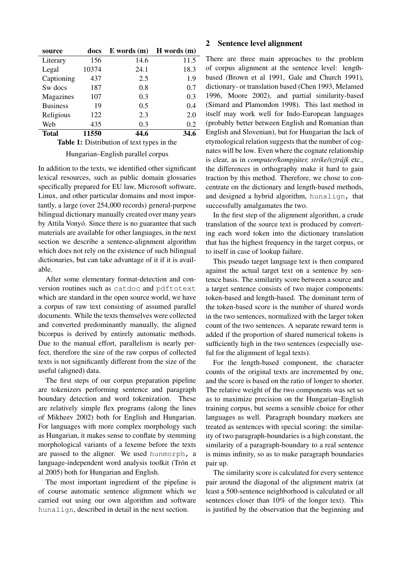| source          | docs  | $E$ words $(m)$ | $H$ words $(m)$ |
|-----------------|-------|-----------------|-----------------|
| Literary        | 156   | 14.6            | 11.5            |
| Legal           | 10374 | 24.1            | 18.3            |
| Captioning      | 437   | 2.5             | 1.9             |
| Sw docs         | 187   | 0.8             | 0.7             |
| Magazines       | 107   | 0.3             | 0.3             |
| <b>Business</b> | 19    | 0.5             | 0.4             |
| Religious       | 122   | 2.3             | 2.0             |
| Web             | 435   | 0.3             | 0.2             |
| Total           | 11550 | 44.6            | 34.6            |

Table 1: Distribution of text types in the

Hungarian–English parallel corpus

In addition to the texts, we identified other significant lexical resources, such as public domain glossaries specifically prepared for EU law, Microsoft software, Linux, and other particular domains and most importantly, a large (over 254,000 records) general-purpose bilingual dictionary manually created over many years by Attila Vonyó. Since there is no guarantee that such materials are available for other languages, in the next section we describe a sentence-alignment algorithm which does not rely on the existence of such bilingual dictionaries, but can take advantage of it if it is available.

After some elementary format-detection and conversion routines such as catdoc and pdftotext which are standard in the open source world, we have a corpus of raw text consisting of assumed parallel documents. While the texts themselves were collected and converted predominantly manually, the aligned bicorpus is derived by entirely automatic methods. Due to the manual effort, parallelism is nearly perfect, therefore the size of the raw corpus of collected texts is not significantly different from the size of the useful (aligned) data.

The first steps of our corpus preparation pipeline are tokenizers performing sentence and paragraph boundary detection and word tokenization. These are relatively simple flex programs (along the lines of Mikheev 2002) both for English and Hungarian. For languages with more complex morphology such as Hungarian, it makes sense to conflate by stemming morphological variants of a lexeme before the texts are passed to the aligner. We used hunmorph, a language-independent word analysis toolkit (Trón et al 2005) both for Hungarian and English.

The most important ingredient of the pipeline is of course automatic sentence alignment which we carried out using our own algorithm and software hunalign, described in detail in the next section.

## 2 Sentence level alignment

There are three main approaches to the problem of corpus alignment at the sentence level: lengthbased (Brown et al 1991, Gale and Church 1991), dictionary- or translation based (Chen 1993, Melamed 1996, Moore 2002), and partial similarity-based (Simard and Plamondon 1998). This last method in itself may work well for Indo-European languages (probably better between English and Romanian than English and Slovenian), but for Hungarian the lack of etymological relation suggests that the number of cognates will be low. Even where the cognate relationship is clear, as in *computer/kompjúter, strike/sztrájk* etc., the differences in orthography make it hard to gain traction by this method. Therefore, we chose to concentrate on the dictionary and length-based methods, and designed a hybrid algorithm, hunalign, that successfully amalgamates the two.

In the first step of the alignment algorithm, a crude translation of the source text is produced by converting each word token into the dictionary translation that has the highest frequency in the target corpus, or to itself in case of lookup failure.

This pseudo target language text is then compared against the actual target text on a sentence by sentence basis. The similarity score between a source and a target sentence consists of two major components: token-based and length-based. The dominant term of the token-based score is the number of shared words in the two sentences, normalized with the larger token count of the two sentences. A separate reward term is added if the proportion of shared numerical tokens is sufficiently high in the two sentences (especially useful for the alignment of legal texts).

For the length-based component, the character counts of the original texts are incremented by one, and the score is based on the ratio of longer to shorter. The relative weight of the two components was set so as to maximize precision on the Hungarian–English training corpus, but seems a sensible choice for other languages as well. Paragraph boundary markers are treated as sentences with special scoring: the similarity of two paragraph-boundaries is a high constant, the similarity of a paragraph-boundary to a real sentence is minus infinity, so as to make paragraph boundaries pair up.

The similarity score is calculated for every sentence pair around the diagonal of the alignment matrix (at least a 500-sentence neighborhood is calculated or all sentences closer than 10% of the longer text). This is justified by the observation that the beginning and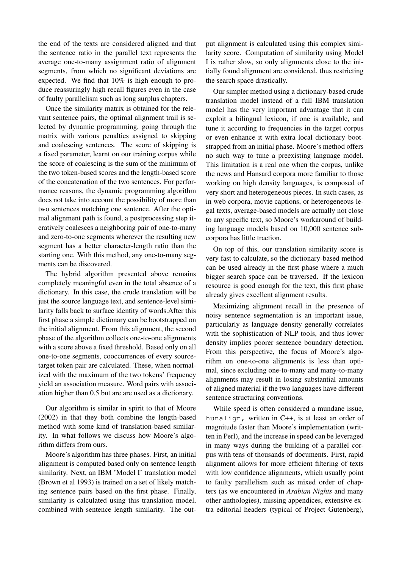the end of the texts are considered aligned and that the sentence ratio in the parallel text represents the average one-to-many assignment ratio of alignment segments, from which no significant deviations are expected. We find that 10% is high enough to produce reassuringly high recall figures even in the case of faulty parallelism such as long surplus chapters.

Once the similarity matrix is obtained for the relevant sentence pairs, the optimal alignment trail is selected by dynamic programming, going through the matrix with various penalties assigned to skipping and coalescing sentences. The score of skipping is a fixed parameter, learnt on our training corpus while the score of coalescing is the sum of the minimum of the two token-based scores and the length-based score of the concatenation of the two sentences. For performance reasons, the dynamic programming algorithm does not take into account the possibility of more than two sentences matching one sentence. After the optimal alignment path is found, a postprocessing step iteratively coalesces a neighboring pair of one-to-many and zero-to-one segments wherever the resulting new segment has a better character-length ratio than the starting one. With this method, any one-to-many segments can be discovered.

The hybrid algorithm presented above remains completely meaningful even in the total absence of a dictionary. In this case, the crude translation will be just the source language text, and sentence-level similarity falls back to surface identity of words.After this first phase a simple dictionary can be bootstrapped on the initial alignment. From this alignment, the second phase of the algorithm collects one-to-one alignments with a score above a fixed threshold. Based only on all one-to-one segments, cooccurrences of every sourcetarget token pair are calculated. These, when normalized with the maximum of the two tokens' frequency yield an association measure. Word pairs with association higher than 0.5 but are are used as a dictionary.

Our algorithm is similar in spirit to that of Moore (2002) in that they both combine the length-based method with some kind of translation-based similarity. In what follows we discuss how Moore's algorithm differs from ours.

Moore's algorithm has three phases. First, an initial alignment is computed based only on sentence length similarity. Next, an IBM 'Model I' translation model (Brown et al 1993) is trained on a set of likely matching sentence pairs based on the first phase. Finally, similarity is calculated using this translation model, combined with sentence length similarity. The out-

put alignment is calculated using this complex similarity score. Computation of similarity using Model I is rather slow, so only alignments close to the initially found alignment are considered, thus restricting the search space drastically.

Our simpler method using a dictionary-based crude translation model instead of a full IBM translation model has the very important advantage that it can exploit a bilingual lexicon, if one is available, and tune it according to frequencies in the target corpus or even enhance it with extra local dictionary bootstrapped from an initial phase. Moore's method offers no such way to tune a preexisting language model. This limitation is a real one when the corpus, unlike the news and Hansard corpora more familiar to those working on high density languages, is composed of very short and heterogeneous pieces. In such cases, as in web corpora, movie captions, or heterogeneous legal texts, average-based models are actually not close to any specific text, so Moore's workaround of building language models based on 10,000 sentence subcorpora has little traction.

On top of this, our translation similarity score is very fast to calculate, so the dictionary-based method can be used already in the first phase where a much bigger search space can be traversed. If the lexicon resource is good enough for the text, this first phase already gives excellent alignment results.

Maximizing alignment recall in the presence of noisy sentence segmentation is an important issue, particularly as language density generally correlates with the sophistication of NLP tools, and thus lower density implies poorer sentence boundary detection. From this perspective, the focus of Moore's algorithm on one-to-one alignments is less than optimal, since excluding one-to-many and many-to-many alignments may result in losing substantial amounts of aligned material if the two languages have different sentence structuring conventions.

While speed is often considered a mundane issue, hunalign, written in C++, is at least an order of magnitude faster than Moore's implementation (written in Perl), and the increase in speed can be leveraged in many ways during the building of a parallel corpus with tens of thousands of documents. First, rapid alignment allows for more efficient filtering of texts with low confidence alignments, which usually point to faulty parallelism such as mixed order of chapters (as we encountered in *Arabian Nights* and many other anthologies), missing appendices, extensive extra editorial headers (typical of Project Gutenberg),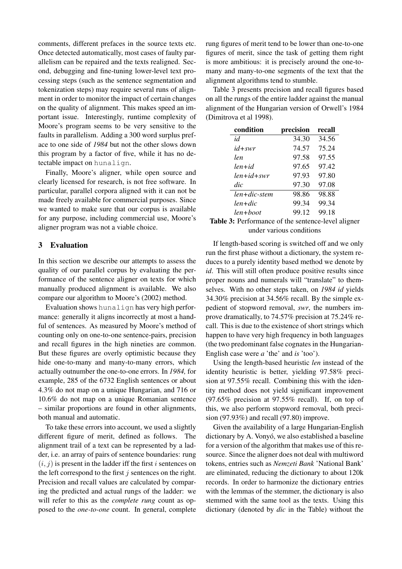comments, different prefaces in the source texts etc. Once detected automatically, most cases of faulty parallelism can be repaired and the texts realigned. Second, debugging and fine-tuning lower-level text processing steps (such as the sentence segmentation and tokenization steps) may require several runs of alignment in order to monitor the impact of certain changes on the quality of alignment. This makes speed an important issue. Interestingly, runtime complexity of Moore's program seems to be very sensitive to the faults in parallelism. Adding a 300 word surplus preface to one side of *1984* but not the other slows down this program by a factor of five, while it has no detectable impact on hunalign.

Finally, Moore's aligner, while open source and clearly licensed for research, is not free software. In particular, parallel corpora aligned with it can not be made freely available for commercial purposes. Since we wanted to make sure that our corpus is available for any purpose, including commercial use, Moore's aligner program was not a viable choice.

#### 3 Evaluation

In this section we describe our attempts to assess the quality of our parallel corpus by evaluating the performance of the sentence aligner on texts for which manually produced alignment is available. We also compare our algorithm to Moore's (2002) method.

Evaluation shows hunalign has very high performance: generally it aligns incorrectly at most a handful of sentences. As measured by Moore's method of counting only on one-to-one sentence-pairs, precision and recall figures in the high nineties are common. But these figures are overly optimistic because they hide one-to-many and many-to-many errors, which actually outnumber the one-to-one errors. In *1984,* for example, 285 of the 6732 English sentences or about 4.3% do not map on a unique Hungarian, and 716 or 10.6% do not map on a unique Romanian sentence – similar proportions are found in other alignments, both manual and automatic.

To take these errors into account, we used a slightly different figure of merit, defined as follows. The alignment trail of a text can be represented by a ladder, i.e. an array of pairs of sentence boundaries: rung  $(i, j)$  is present in the ladder iff the first i sentences on the left correspond to the first  $j$  sentences on the right. Precision and recall values are calculated by comparing the predicted and actual rungs of the ladder: we will refer to this as the *complete rung* count as opposed to the *one-to-one* count. In general, complete rung figures of merit tend to be lower than one-to-one figures of merit, since the task of getting them right is more ambitious: it is precisely around the one-tomany and many-to-one segments of the text that the alignment algorithms tend to stumble.

Table 3 presents precision and recall figures based on all the rungs of the entire ladder against the manual alignment of the Hungarian version of Orwell's 1984 (Dimitrova et al 1998).

| condition    | precision | recall |  |
|--------------|-----------|--------|--|
| id           | 34.30     | 34.56  |  |
| $id+swr$     | 74.57     | 75.24  |  |
| len          | 97.58     | 97.55  |  |
| $len+id$     | 97.65     | 97.42  |  |
| $len+id+swr$ | 97.93     | 97.80  |  |
| dic          | 97.30     | 97.08  |  |
| len+dic-stem | 98.86     | 98.88  |  |
| len+dic      | 99.34     | 99.34  |  |
| len+boot     | 99.12     | 99.18  |  |

| <b>Table 3:</b> Performance of the sentence-level aligner |
|-----------------------------------------------------------|
| under various conditions                                  |

If length-based scoring is switched off and we only run the first phase without a dictionary, the system reduces to a purely identity based method we denote by *id*. This will still often produce positive results since proper nouns and numerals will "translate" to themselves. With no other steps taken, on *1984 id* yields 34.30% precision at 34.56% recall. By the simple expedient of stopword removal, *swr*, the numbers improve dramatically, to 74.57% precision at 75.24% recall. This is due to the existence of short strings which happen to have very high frequency in both languages (the two predominant false cognates in the Hungarian-English case were *a* 'the' and *is* 'too').

Using the length-based heuristic *len* instead of the identity heuristic is better, yielding 97.58% precision at 97.55% recall. Combining this with the identity method does not yield significant improvement (97.65% precision at 97.55% recall). If, on top of this, we also perform stopword removal, both precision (97.93%) and recall (97.80) improve.

Given the availability of a large Hungarian-English dictionary by A. Vonyó, we also established a baseline for a version of the algorithm that makes use of this resource. Since the aligner does not deal with multiword tokens, entries such as *Nemzeti Bank* 'National Bank' are eliminated, reducing the dictionary to about 120k records. In order to harmonize the dictionary entries with the lemmas of the stemmer, the dictionary is also stemmed with the same tool as the texts. Using this dictionary (denoted by *dic* in the Table) without the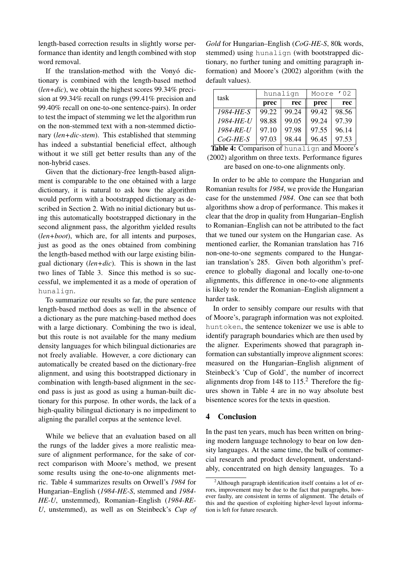length-based correction results in slightly worse performance than identity and length combined with stop word removal.

If the translation-method with the Vonyó dictionary is combined with the length-based method (*len+dic*), we obtain the highest scores 99.34% precision at 99.34% recall on rungs (99.41% precision and 99.40% recall on one-to-one sentence-pairs). In order to test the impact of stemming we let the algorithm run on the non-stemmed text with a non-stemmed dictionary (*len+dic-stem*). This established that stemming has indeed a substantial beneficial effect, although without it we still get better results than any of the non-hybrid cases.

Given that the dictionary-free length-based alignment is comparable to the one obtained with a large dictionary, it is natural to ask how the algorithm would perform with a bootstrapped dictionary as described in Section 2. With no initial dictionary but using this automatically bootstrapped dictionary in the second alignment pass, the algorithm yielded results (*len+boot*), which are, for all intents and purposes, just as good as the ones obtained from combining the length-based method with our large existing bilingual dictionary (*len+dic*). This is shown in the last two lines of Table 3. Since this method is so successful, we implemented it as a mode of operation of hunalign.

To summarize our results so far, the pure sentence length-based method does as well in the absence of a dictionary as the pure matching-based method does with a large dictionary. Combining the two is ideal, but this route is not available for the many medium density languages for which bilingual dictionaries are not freely avaliable. However, a core dictionary can automatically be created based on the dictionary-free alignment, and using this bootstrapped dictionary in combination with length-based alignment in the second pass is just as good as using a human-built dictionary for this purpose. In other words, the lack of a high-quality bilingual dictionary is no impediment to aligning the parallel corpus at the sentence level.

While we believe that an evaluation based on all the rungs of the ladder gives a more realistic measure of alignment performance, for the sake of correct comparison with Moore's method, we present some results using the one-to-one alignments metric. Table 4 summarizes results on Orwell's *1984* for Hungarian–English (*1984-HE-S*, stemmed and *1984- HE-U*, unstemmed), Romanian–English (*1984-RE-U*, unstemmed), as well as on Steinbeck's *Cup of*

*Gold* for Hungarian–English (*CoG-HE-S*, 80k words, stemmed) using hunalign (with bootstrapped dictionary, no further tuning and omitting paragraph information) and Moore's (2002) algorithm (with the default values).

| task       |       | hunalign | Moore<br>$'$ 02 |       |
|------------|-------|----------|-----------------|-------|
|            | prec  | rec      | prec            | rec   |
| 1984-HE-S  | 99.22 | 99.24    | 99.42           | 98.56 |
| 1984-HE-U  | 98.88 | 99.05    | 99.24           | 97.39 |
| 1984-RE-U  | 97.10 | 97.98    | 97.55           | 96.14 |
| $CoG-HE-S$ | 97.03 | 98.44    | 96.45           | 97.53 |

Table 4: Comparison of hunalign and Moore's (2002) algorithm on three texts. Performance figures are based on one-to-one alignments only.

In order to be able to compare the Hungarian and Romanian results for *1984*, we provide the Hungarian case for the unstemmed *1984*. One can see that both algorithms show a drop of performance. This makes it clear that the drop in quality from Hungarian–English to Romanian–English can not be attributed to the fact that we tuned our system on the Hungarian case. As mentioned earlier, the Romanian translation has 716 non-one-to-one segments compared to the Hungarian translation's 285. Given both algorithm's preference to globally diagonal and locally one-to-one alignments, this difference in one-to-one alignments is likely to render the Romanian–English alignment a harder task.

In order to sensibly compare our results with that of Moore's, paragraph information was not exploited. huntoken, the sentence tokenizer we use is able to identify paragraph boundaries which are then used by the aligner. Experiments showed that paragraph information can substantially improve alignment scores: measured on the Hungarian–English alignment of Steinbeck's 'Cup of Gold', the number of incorrect alignments drop from  $148$  to  $115<sup>2</sup>$ . Therefore the figures shown in Table 4 are in no way absolute best bisentence scores for the texts in question.

## 4 Conclusion

In the past ten years, much has been written on bringing modern language technology to bear on low density languages. At the same time, the bulk of commercial research and product development, understandably, concentrated on high density languages. To a

<sup>2</sup>Although paragraph identification itself contains a lot of errors, improvement may be due to the fact that paragraphs, however faulty, are consistent in terms of alignment. The details of this and the question of exploiting higher-level layout information is left for future research.